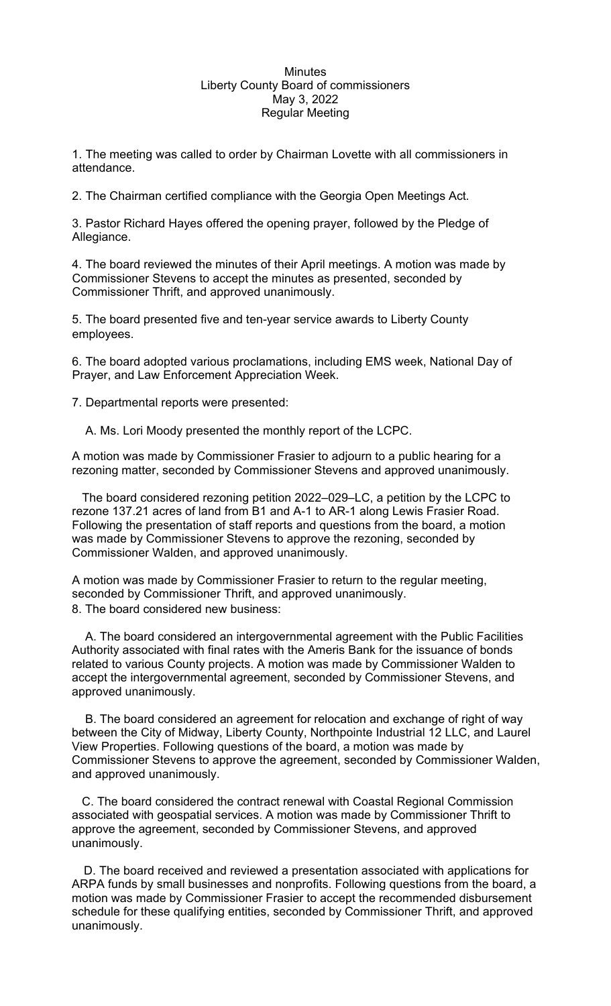## **Minutes** Liberty County Board of commissioners May 3, 2022 Regular Meeting

1. The meeting was called to order by Chairman Lovette with all commissioners in attendance.

2. The Chairman certified compliance with the Georgia Open Meetings Act.

3. Pastor Richard Hayes offered the opening prayer, followed by the Pledge of Allegiance.

4. The board reviewed the minutes of their April meetings. A motion was made by Commissioner Stevens to accept the minutes as presented, seconded by Commissioner Thrift, and approved unanimously.

5. The board presented five and ten-year service awards to Liberty County employees.

6. The board adopted various proclamations, including EMS week, National Day of Prayer, and Law Enforcement Appreciation Week.

7. Departmental reports were presented:

A. Ms. Lori Moody presented the monthly report of the LCPC.

A motion was made by Commissioner Frasier to adjourn to a public hearing for a rezoning matter, seconded by Commissioner Stevens and approved unanimously.

 The board considered rezoning petition 2022–029–LC, a petition by the LCPC to rezone 137.21 acres of land from B1 and A-1 to AR-1 along Lewis Frasier Road. Following the presentation of staff reports and questions from the board, a motion was made by Commissioner Stevens to approve the rezoning, seconded by Commissioner Walden, and approved unanimously.

A motion was made by Commissioner Frasier to return to the regular meeting, seconded by Commissioner Thrift, and approved unanimously. 8. The board considered new business:

A. The board considered an intergovernmental agreement with the Public Facilities Authority associated with final rates with the Ameris Bank for the issuance of bonds related to various County projects. A motion was made by Commissioner Walden to accept the intergovernmental agreement, seconded by Commissioner Stevens, and approved unanimously.

B. The board considered an agreement for relocation and exchange of right of way between the City of Midway, Liberty County, Northpointe Industrial 12 LLC, and Laurel View Properties. Following questions of the board, a motion was made by Commissioner Stevens to approve the agreement, seconded by Commissioner Walden, and approved unanimously.

C. The board considered the contract renewal with Coastal Regional Commission associated with geospatial services. A motion was made by Commissioner Thrift to approve the agreement, seconded by Commissioner Stevens, and approved unanimously.

D. The board received and reviewed a presentation associated with applications for ARPA funds by small businesses and nonprofits. Following questions from the board, a motion was made by Commissioner Frasier to accept the recommended disbursement schedule for these qualifying entities, seconded by Commissioner Thrift, and approved unanimously.